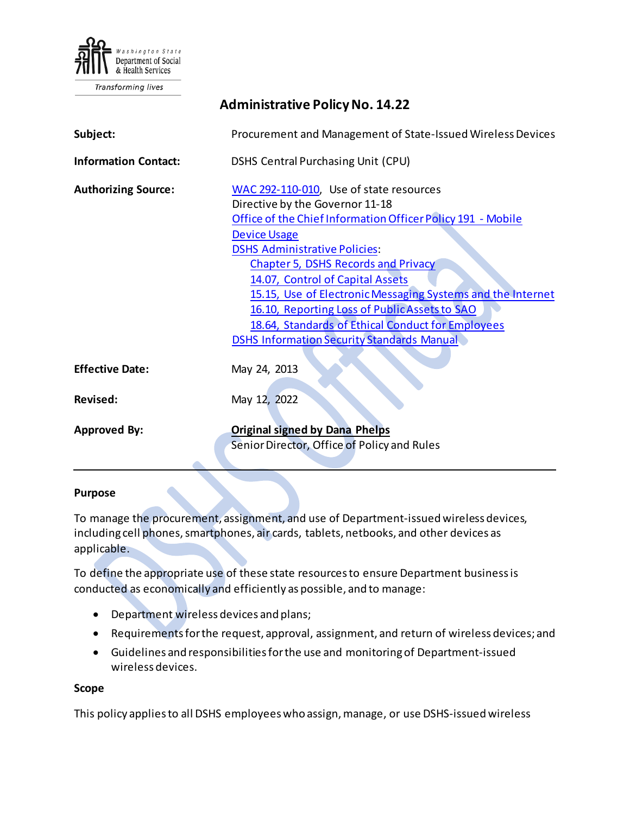

**Transforming lives** 

# **Administrative Policy No. 14.22 Subject:** Procurement and Management of State-Issued Wireless Devices **Information Contact:** DSHS Central Purchasing Unit (CPU) **Authorizing Source:** [WAC 292-110-010,](http://apps.leg.wa.gov/WAC/default.aspx?cite=292-110-010) Use of state resources Directive by the Governor 11-18 [Office of the Chief Information Officer Policy 191 -](https://ocio.wa.gov/policy/mobile-device-usage) Mobile [Device Usage](https://ocio.wa.gov/policy/mobile-device-usage) [DSHS Administrative Policies](http://one.dshs.wa.lcl/Policies/Pages/default.aspx): Chapter 5, [DSHS Records and Privacy](http://one.dshs.wa.lcl/Policies/Pages/default.aspx) [14.07, Control of Capital Assets](http://one.dshs.wa.lcl/Policies/Administrative/DSHS-AP-14-07.pdf) [15.15, Use of Electronic Messaging Systems and the Internet](http://one.dshs.wa.lcl/Policies/Administrative/DSHS-AP-15-15.pdf) [16.10, Reporting Loss of Public Assets to SAO](http://one.dshs.wa.lcl/Policies/Administrative/DSHS-AP-16-10.pdf) [18.64, Standards of Ethical Conduct for Employees](http://one.dshs.wa.lcl/Policies/Administrative/DSHS-AP-18-64.pdf) DSHS Information [Security Standards](http://ishare.dshs.wa.lcl/Security/Manual/DSHS_IT_Sec_Pol.pdf) Manual **Effective Date:** May 24, 2013 **Revised:** May 12, 2022 **Approved By: Original signed by Dana Phelps** Senior Director, Office of Policy and Rules

#### **Purpose**

To manage the procurement, assignment, and use of Department-issued wireless devices, including cell phones, smartphones, air cards, tablets, netbooks, and other devices as applicable.

To define the appropriate use of these state resourcesto ensure Department business is conducted as economically and efficiently as possible, and to manage:

- Department wireless devices and plans;
- Requirements for the request, approval, assignment, and return of wireless devices; and
- Guidelines and responsibilities for the use and monitoring of Department-issued wireless devices.

#### **Scope**

This policy applies to all DSHS employees who assign, manage, or use DSHS-issued wireless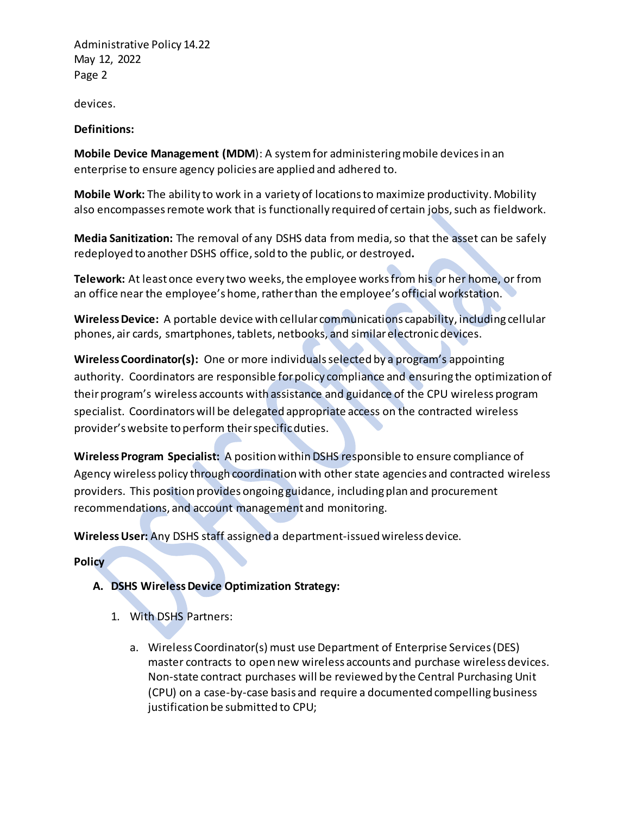Administrative Policy 14.22 May 12, 2022 Page 2

devices.

## **Definitions:**

**Mobile Device Management (MDM**): A system for administering mobile devices in an enterprise to ensure agency policies are applied and adhered to.

**Mobile Work:** The ability to work in a variety of locations to maximize productivity. Mobility also encompasses remote work that is functionally required of certain jobs, such as fieldwork.

**Media Sanitization:** The removal of any DSHS data from media, so that the asset can be safely redeployed to another DSHS office, sold to the public, or destroyed**.**

**Telework:** At least once every two weeks, the employee worksfrom his or her home, or from an office near the employee's home, rather than the employee's official workstation.

**WirelessDevice:** A portable device with cellular communications capability, including cellular phones, air cards, smartphones, tablets, netbooks, and similarelectronicdevices.

**Wireless Coordinator(s):** One or more individuals selected by a program's appointing authority. Coordinators are responsible for policy compliance and ensuring the optimization of their program's wireless accounts with assistance and guidance of the CPU wireless program specialist. Coordinators will be delegated appropriate access on the contracted wireless provider'swebsite to perform their specific duties.

**Wireless Program Specialist:** A position within DSHS responsible to ensure compliance of Agency wireless policy through coordination with other state agencies and contracted wireless providers. This position provides ongoing guidance, including plan and procurement recommendations, and account management and monitoring.

**WirelessUser:** Any DSHS staff assigned a department-issued wireless device.

**Policy**

- **A. DSHS WirelessDevice Optimization Strategy:** 
	- 1. With DSHS Partners:
		- a. Wireless Coordinator(s) must use Department of Enterprise Services (DES) master contracts to open new wireless accounts and purchase wireless devices. Non-state contract purchases will be reviewed by the Central Purchasing Unit (CPU) on a case-by-case basis and require a documented compelling business justification be submitted to CPU;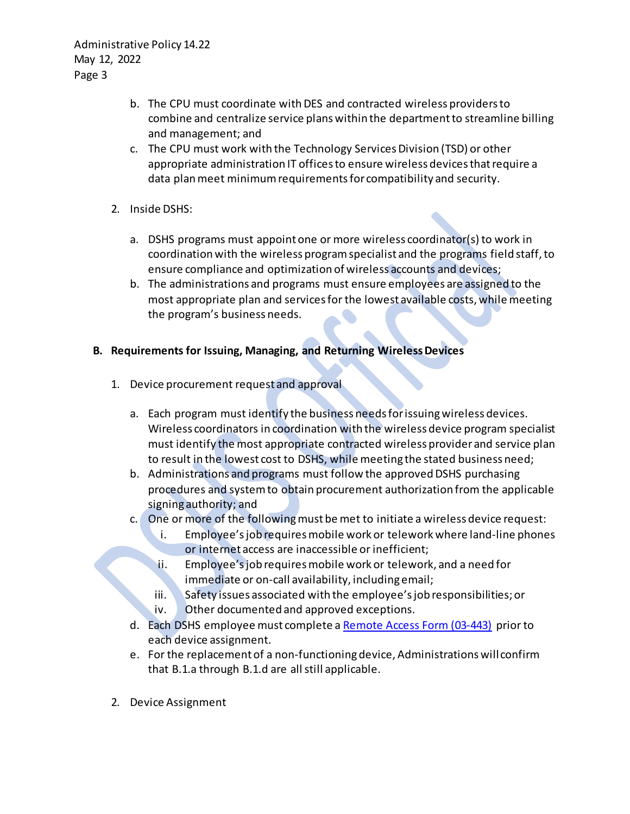Administrative Policy 14.22 May 12, 2022 Page 3

- b. The CPU must coordinate with DES and contracted wireless providers to combine and centralize service plans within the department to streamline billing and management; and
- c. The CPU must work with the Technology Services Division (TSD) or other appropriate administration IT offices to ensure wireless devices that require a data plan meet minimum requirements for compatibility and security.
- 2. Inside DSHS:
	- a. DSHS programs must appoint one or more wireless coordinator(s) to work in coordination with the wireless program specialist and the programs field staff, to ensure compliance and optimization of wireless accounts and devices;
	- b. The administrations and programs must ensure employees are assigned to the most appropriate plan and services for the lowest available costs, while meeting the program's business needs.

## **B. Requirements for Issuing, Managing, and Returning WirelessDevices**

- 1. Device procurement request and approval
	- a. Each program must identify the business needs for issuing wireless devices. Wireless coordinators in coordination with the wireless device program specialist must identify the most appropriate contracted wireless providerand service plan to result in the lowest cost to DSHS, while meeting the stated business need;
	- b. Administrations and programs must follow the approved DSHS purchasing procedures and system to obtain procurement authorization from the applicable signing authority; and
	- c. One or more of the following must be met to initiate a wireless device request:
		- i. Employee's job requires mobile work or telework where land-line phones or internet access are inaccessible or inefficient;
		- ii. Employee's job requires mobile work or telework, and a need for immediate or on-call availability, including email;
		- iii. Safety issues associated with the employee's job responsibilities; or
		- iv. Other documented and approved exceptions.
	- d. Each DSHS employee must complete a [Remote Access Form \(03-443\)](http://forms.dshs.wa.lcl/formDetails.aspx?ID=12784) prior to each device assignment.
	- e. For the replacement of a non-functioningdevice, Administrations will confirm that B.1.a through B.1.d are all still applicable.
- 2. Device Assignment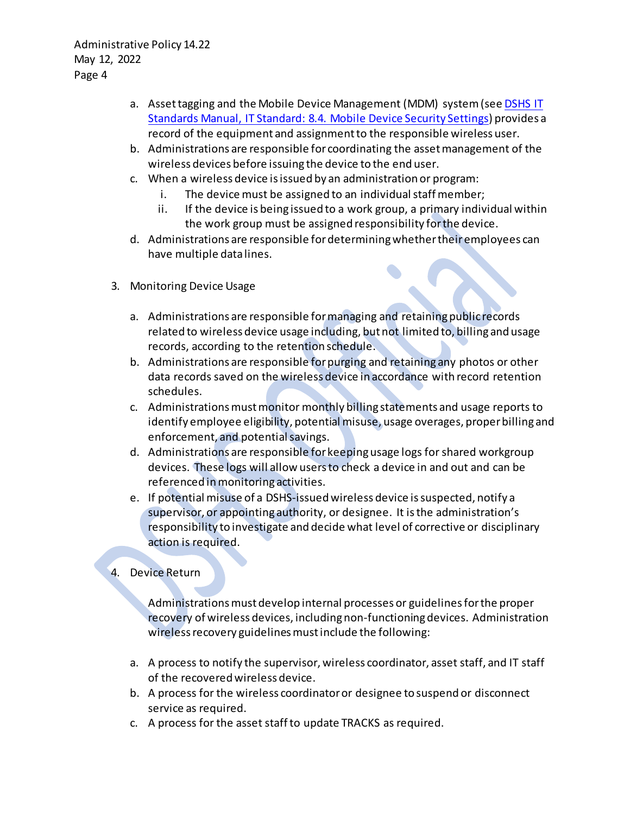- a. Asset tagging and the Mobile Device Management (MDM) system (see **DSHS IT** [Standards Manual, IT Standard: 8.4. Mobile Device Security Settings\)](http://intra.dshs.wa.lcl/itstandards/ITStandard8.4.stm) provides a record of the equipment and assignment to the responsible wireless user.
- b. Administrations are responsible for coordinating the asset management of the wireless devices before issuing the device to the end user.
- c. When a wireless device is issued by an administration or program:
	- i. The device must be assigned to an individual staff member;
	- ii. If the device is being issued to a work group, a primary individual within the work group must be assigned responsibility for the device.
- d. Administrations are responsible for determining whether theiremployees can have multiple data lines.
- 3. Monitoring Device Usage
	- a. Administrations are responsible for managing and retaining public records related to wireless device usage including, but not limited to, billing and usage records, according to the retention schedule.
	- b. Administrations are responsible for purging and retaining any photos or other data records saved on the wireless device in accordance with record retention schedules.
	- c. Administrations must monitor monthly billing statements and usage reports to identify employee eligibility, potential misuse, usage overages, proper billing and enforcement, and potential savings.
	- d. Administrations are responsible for keeping usage logs for shared workgroup devices. These logs will allow users to check a device in and out and can be referenced in monitoring activities.
	- e. If potential misuse of a DSHS-issued wireless device is suspected, notify a supervisor, or appointing authority, or designee. It is the administration's responsibility to investigate and decide what level of corrective or disciplinary action is required.

# 4. Device Return

Administrations must develop internal processes or guidelines for the proper recovery of wireless devices, including non-functioning devices. Administration wireless recovery guidelines must include the following:

- a. A process to notify the supervisor, wireless coordinator, asset staff, and IT staff of the recovered wireless device.
- b. A process for the wireless coordinator or designee to suspend or disconnect service as required.
- c. A process for the asset staff to update TRACKS as required.